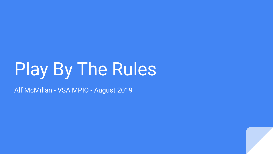# Play By The Rules

Alf McMillan - VSA MPIO - August 2019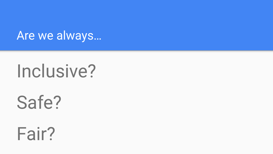Are we always…

# Inclusive?

Safe?

Fair?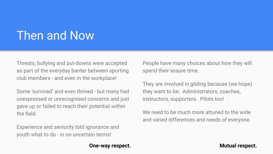## Then and Now

Threats, bullying and put-downs were accepted as part of the everyday banter between sporting club members - and even in the workplace!

Some 'survived' and even thrived - but many had unexpressed or unrecognised concerns and just gave up or failed to reach their potential within the field.

Experience and seniority told ignorance and youth what to do - in no uncertain terms!

People have many choices about how they will spend their leisure time.

They are involved in gliding because (we hope) they want to be: Administrators, coaches, instructors, supporters. Pilots too!

We need to be much more attuned to the wide and varied differences and needs of everyone.

#### **One-way respect.** The settle of the settlement of the Mutual respect.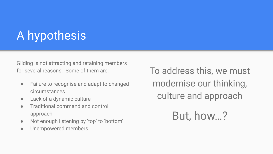## A hypothesis

Gliding is not attracting and retaining members for several reasons. Some of them are:

- Failure to recognise and adapt to changed circumstances
- Lack of a dynamic culture
- Traditional command and control approach
- Not enough listening by 'top' to 'bottom'
- Unempowered members

To address this, we must modernise our thinking, culture and approach

But, how…?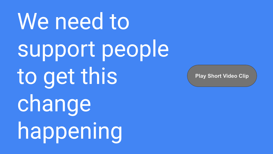We need to support people to get this change happening

**[Play Short Video Clip](https://www.playbytherules.net.au/resources/videos/play-by-the-rules)**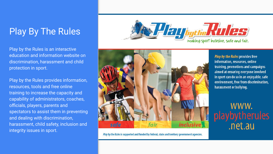### Play By The Rules

Play by the Rules is an interactive education and information website on discrimination, harassment and child protection in sport.

Play by the Rules provides information, resources, tools and free online training to increase the capacity and capability of administrators, coaches, officials, players, parents and spectators to assist them in preventing and dealing with discrimination, harassment, child safety, inclusion and integrity issues in sport.





Play by the Rules is supported and funded by federal, state and territory government agencies.

Play by the Rules provides free information, resources, online training, promotions and campaigns aimed at ensuring everyone involved in sport can do so in an enjoyable, safe environment, free from discrimination, harassment or bullying.

WWW. playbytherules<br>.net.au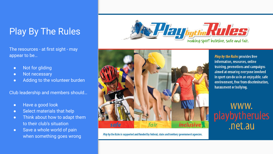### Play By The Rules

The resources - at first sight - may appear to be…

- Not for gliding
- Not necessary
- Adding to the volunteer burden

Club leadership and members should…

- Have a good look
- Select materials that help
- Think about how to adapt them to their club's situation
- Save a whole world of pain when something goes wrong





Play by the Rules is supported and funded by federal, state and territory government agencies.

Play by the Rules provides free information, resources, online training, promotions and campaigns aimed at ensuring everyone involved in sport can do so in an enjoyable, safe environment, free from discrimination, harassment or bullying.

WWW. playbytherules<br>.net.au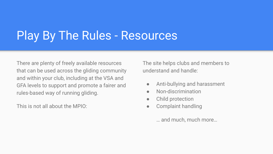## Play By The Rules - Resources

There are plenty of freely available resources that can be used across the gliding community and within your club, including at the VSA and GFA levels to support and promote a fairer and rules-based way of running gliding.

This is not all about the MPIO:

The site helps clubs and members to understand and handle:

- Anti-bullying and harassment
- Non-discrimination
- Child protection
- Complaint handling

… and much, much more…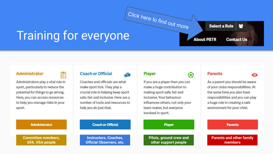# Training for everyone Click here to find out [more](https://www.playbytherules.net.au/about-pbtr)

Ĥ

#### **Administrator**

Administrators play a vital role in sport, particularly to reduce the potential for things to go wrong. Here, you can access resources to help you manage risks in your sport.

#### **Coach or Official**



Coaches and officials are what make sport tick. They play a crucial role in helping keep sport safe, fair and inclusive. Here are a number of tools and resources to help you do just that.

#### **Player**

If you are a player then you can make a huge contribution to making sport safe, fair and inclusive. Your behaviour influences others, not only your team mates, but everyone involved in sport.

#### **Player**

**Pilots, ground crew and other support people**



**About PBTR** 

⊕

Select a Role

 $\bullet$ 

謍

**Contact Us** 

As a parent you should be aware of your clubs responsibilities. At the same time you also have responsibilities and you can play a huge role in creating a safe environment for your child.

#### **Parents**

**Parents and other family members**

#### **Administrator**

**Committee members, GFA, VSA people**

#### **Coach or Official**

**Instructors, Coaches, Official Observers, etc.**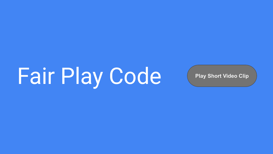Fair Play Code ([Play Short Video Clip](https://vimeo.com/298297122)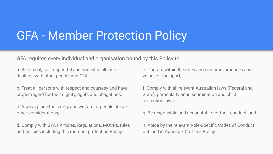### GFA - Member Protection Policy

GFA requires every individual and organisation bound by this Policy to:

a. Be ethical, fair, respectful and honest in all their dealings with other people and GFA;

b. Treat all persons with respect and courtesy and have proper regard for their dignity, rights and obligations;

c. Always place the safety and welfare of people above other considerations;

d. Comply with GFA's Articles, Regulations, MOSPs, rules and policies including this member protection Policy;

e. Operate within the rules and customs, practices and values of the sport;

f. Comply with all relevant Australian laws (Federal and State), particularly antidiscrimination and child protection laws;

g. Be responsible and accountable for their conduct; and

h. Abide by the relevant Role-Specific Codes of Conduct outlined in Appendix C of this Policy.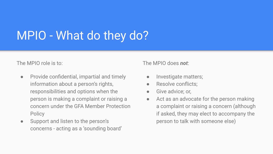## MPIO - What do they do?

The MPIO role is to:

- Provide confidential, impartial and timely information about a person's rights, responsibilities and options when the person is making a complaint or raising a concern under the GFA Member Protection **Policy**
- Support and listen to the person's concerns - acting as a 'sounding board'

The MPIO does *not*:

- **•** Investigate matters;
- Resolve conflicts:
- Give advice; or,
- Act as an advocate for the person making a complaint or raising a concern (although if asked, they may elect to accompany the person to talk with someone else)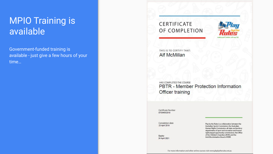### MPIO Training is available

Government-funded training is available - just give a few hours of your time…

#### CERTIFICATE OF COMPLETION



THIS IS TO CERTIFY THAT: **Alf McMillan** 

HAS COMPLETED THE COURSE PBTR - Member Protection Information Officer training

Certificate Number 0753465/2019

Completion date 23 April 2019

Expiry 24 April 2021 Play by the Rules is a collaboration between the Australian Sports Commission, the Australian Human Rights Commission, all state and territory departments of sport and recreation and human rights/equal opportunity commissions, the Office of the Children's Guardian (NSW) and the Anti-Discrimination Board of NSW.

For more information and other online courses visit www.playbytherules.net.au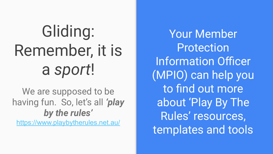# Gliding: Remember, it is a *sport*!

We are supposed to be having fun. So, let's all *'play by the rules'*

<https://www.playbytherules.net.au/>

Your Member Protection Information Officer (MPIO) can help you to find out more about 'Play By The Rules' resources, templates and tools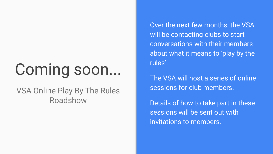# Coming soon...

VSA Online Play By The Rules Roadshow

Over the next few months, the VSA will be contacting clubs to start conversations with their members about what it means to 'play by the rules'.

The VSA will host a series of online sessions for club members.

Details of how to take part in these sessions will be sent out with invitations to members.